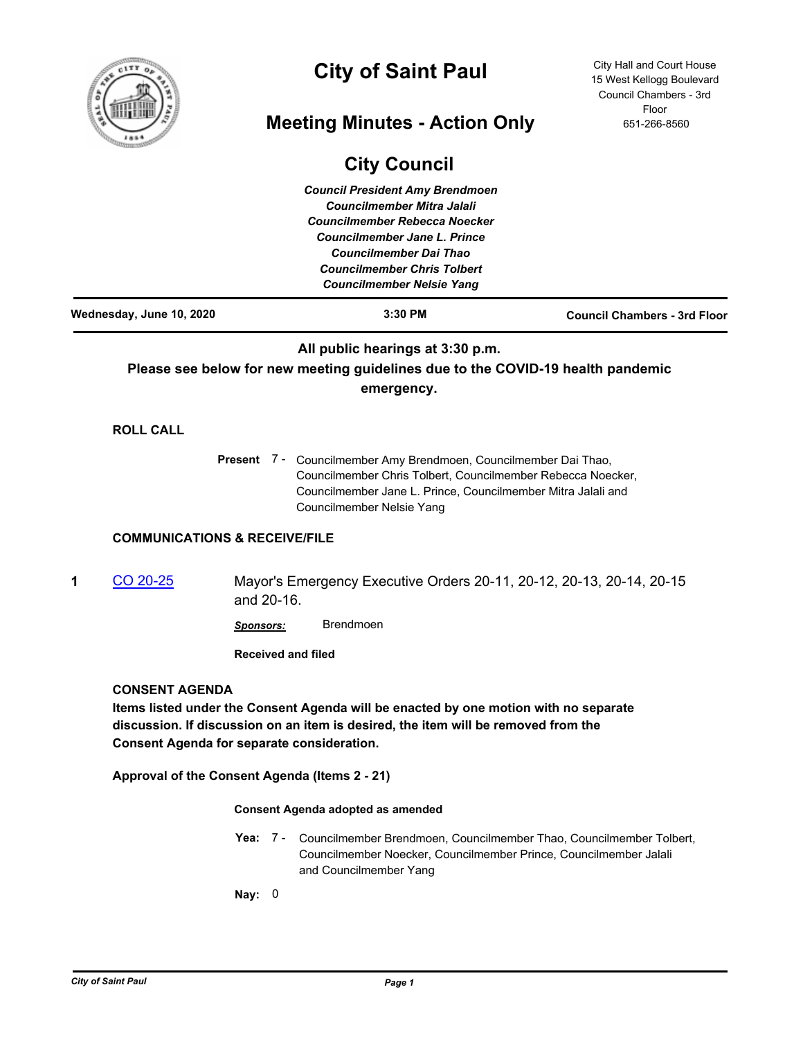

# **City of Saint Paul**

# **Meeting Minutes - Action Only**

City Hall and Court House 15 West Kellogg Boulevard Council Chambers - 3rd Floor 651-266-8560

|   |                                                                     |                           | <b>City Council</b>                                                                                                                                                                                                                                                   |                                     |
|---|---------------------------------------------------------------------|---------------------------|-----------------------------------------------------------------------------------------------------------------------------------------------------------------------------------------------------------------------------------------------------------------------|-------------------------------------|
|   |                                                                     |                           | <b>Council President Amy Brendmoen</b><br><b>Councilmember Mitra Jalali</b><br><b>Councilmember Rebecca Noecker</b><br><b>Councilmember Jane L. Prince</b><br><b>Councilmember Dai Thao</b><br><b>Councilmember Chris Tolbert</b><br><b>Councilmember Nelsie Yang</b> |                                     |
|   | Wednesday, June 10, 2020                                            |                           | 3:30 PM                                                                                                                                                                                                                                                               | <b>Council Chambers - 3rd Floor</b> |
|   |                                                                     |                           | All public hearings at 3:30 p.m.<br>Please see below for new meeting guidelines due to the COVID-19 health pandemic<br>emergency.                                                                                                                                     |                                     |
|   | <b>ROLL CALL</b>                                                    |                           |                                                                                                                                                                                                                                                                       |                                     |
|   |                                                                     |                           | Present 7 - Councilmember Amy Brendmoen, Councilmember Dai Thao,<br>Councilmember Chris Tolbert, Councilmember Rebecca Noecker,<br>Councilmember Jane L. Prince, Councilmember Mitra Jalali and<br>Councilmember Nelsie Yang                                          |                                     |
|   | <b>COMMUNICATIONS &amp; RECEIVE/FILE</b>                            |                           |                                                                                                                                                                                                                                                                       |                                     |
| 1 | CO 20-25                                                            | and 20-16.                | Mayor's Emergency Executive Orders 20-11, 20-12, 20-13, 20-14, 20-15                                                                                                                                                                                                  |                                     |
|   |                                                                     | Sponsors:                 | <b>Brendmoen</b>                                                                                                                                                                                                                                                      |                                     |
|   |                                                                     | <b>Received and filed</b> |                                                                                                                                                                                                                                                                       |                                     |
|   | <b>CONSENT AGENDA</b><br>Consent Agenda for separate consideration. |                           | Items listed under the Consent Agenda will be enacted by one motion with no separate<br>discussion. If discussion on an item is desired, the item will be removed from the                                                                                            |                                     |
|   |                                                                     |                           | Approval of the Consent Agenda (Items 2 - 21)                                                                                                                                                                                                                         |                                     |
|   | <b>Consent Agenda adopted as amended</b>                            |                           |                                                                                                                                                                                                                                                                       |                                     |
|   |                                                                     | Yea: 7 -                  | Councilmember Brendmoen, Councilmember Thao, Councilmember Tolbert,<br>Councilmember Noecker, Councilmember Prince, Councilmember Jalali<br>and Councilmember Yang                                                                                                    |                                     |

**Nay:** 0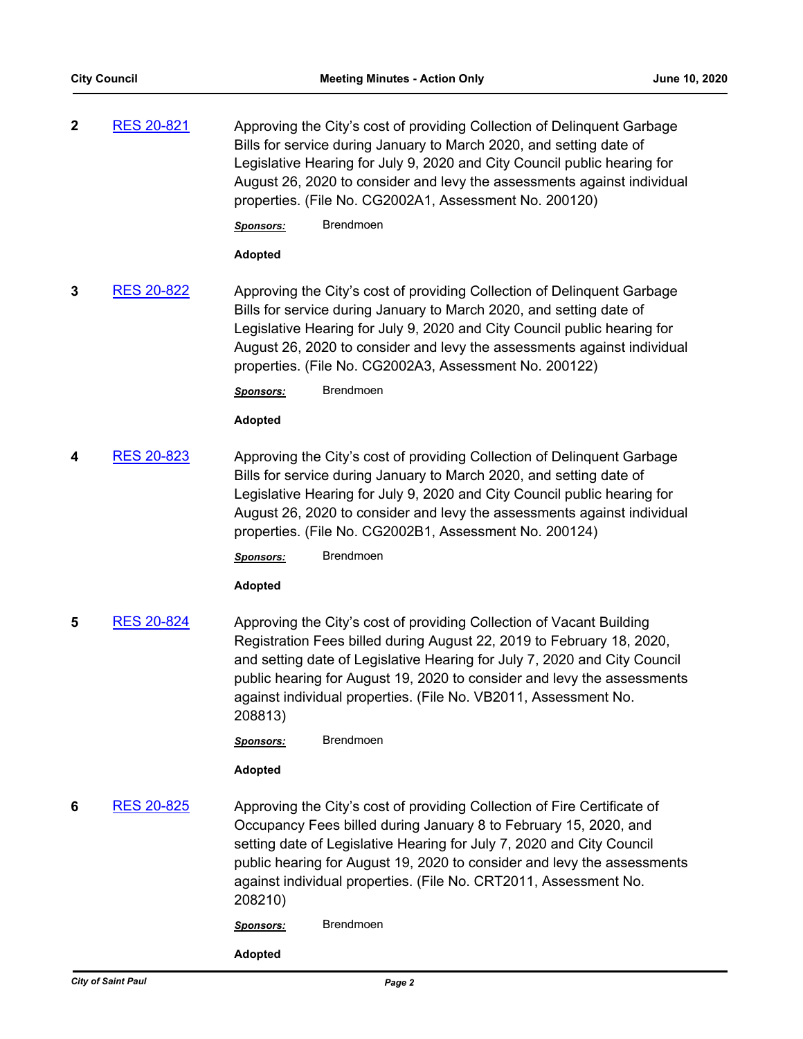**2** [RES 20-821](http://stpaul.legistar.com/gateway.aspx?m=l&id=/matter.aspx?key=34751) Approving the City's cost of providing Collection of Delinquent Garbage Bills for service during January to March 2020, and setting date of Legislative Hearing for July 9, 2020 and City Council public hearing for August 26, 2020 to consider and levy the assessments against individual properties. (File No. CG2002A1, Assessment No. 200120)

*Sponsors:* Brendmoen

#### **Adopted**

**3** [RES 20-822](http://stpaul.legistar.com/gateway.aspx?m=l&id=/matter.aspx?key=34752) Approving the City's cost of providing Collection of Delinquent Garbage Bills for service during January to March 2020, and setting date of Legislative Hearing for July 9, 2020 and City Council public hearing for August 26, 2020 to consider and levy the assessments against individual properties. (File No. CG2002A3, Assessment No. 200122)

#### *Sponsors:* Brendmoen

# **Adopted**

**4** [RES 20-823](http://stpaul.legistar.com/gateway.aspx?m=l&id=/matter.aspx?key=34753) Approving the City's cost of providing Collection of Delinquent Garbage Bills for service during January to March 2020, and setting date of Legislative Hearing for July 9, 2020 and City Council public hearing for August 26, 2020 to consider and levy the assessments against individual properties. (File No. CG2002B1, Assessment No. 200124)

*Sponsors:* Brendmoen

# **Adopted**

**5** [RES 20-824](http://stpaul.legistar.com/gateway.aspx?m=l&id=/matter.aspx?key=34754) Approving the City's cost of providing Collection of Vacant Building Registration Fees billed during August 22, 2019 to February 18, 2020, and setting date of Legislative Hearing for July 7, 2020 and City Council public hearing for August 19, 2020 to consider and levy the assessments against individual properties. (File No. VB2011, Assessment No. 208813)

*Sponsors:* Brendmoen

# **Adopted**

**6** [RES 20-825](http://stpaul.legistar.com/gateway.aspx?m=l&id=/matter.aspx?key=34755) Approving the City's cost of providing Collection of Fire Certificate of Occupancy Fees billed during January 8 to February 15, 2020, and setting date of Legislative Hearing for July 7, 2020 and City Council public hearing for August 19, 2020 to consider and levy the assessments against individual properties. (File No. CRT2011, Assessment No. 208210)

*Sponsors:* Brendmoen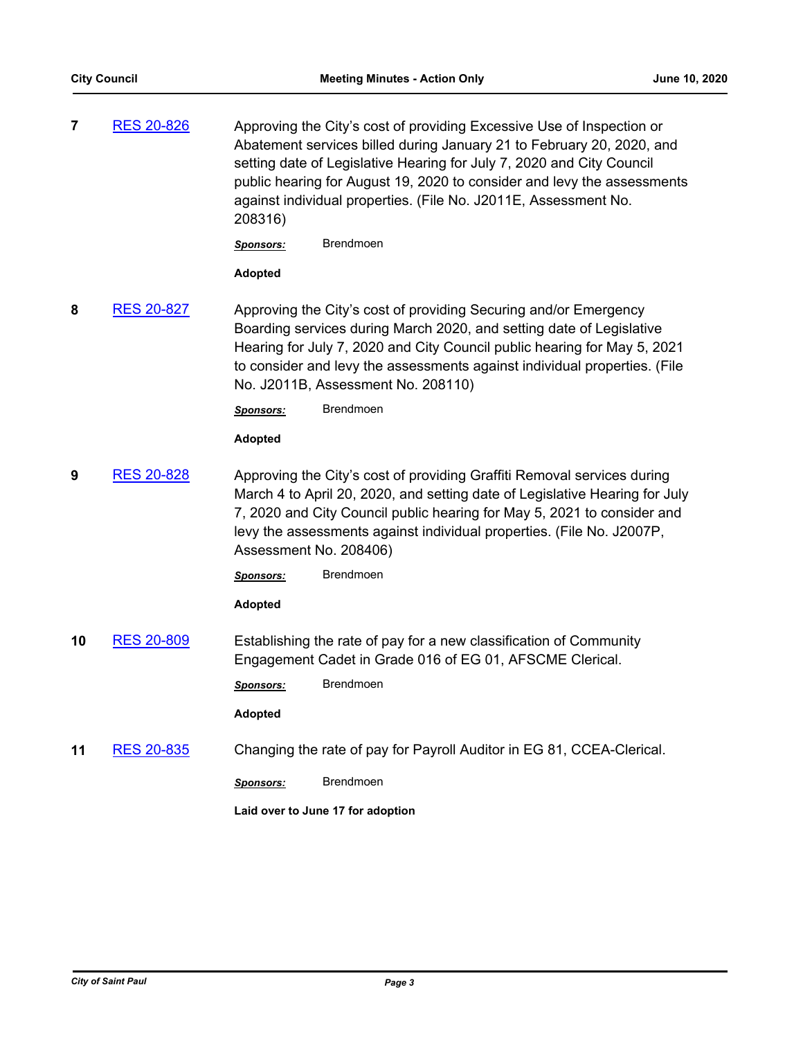**7** [RES 20-826](http://stpaul.legistar.com/gateway.aspx?m=l&id=/matter.aspx?key=34757) Approving the City's cost of providing Excessive Use of Inspection or Abatement services billed during January 21 to February 20, 2020, and setting date of Legislative Hearing for July 7, 2020 and City Council public hearing for August 19, 2020 to consider and levy the assessments against individual properties. (File No. J2011E, Assessment No. 208316)

*Sponsors:* Brendmoen

# **Adopted**

**8** [RES 20-827](http://stpaul.legistar.com/gateway.aspx?m=l&id=/matter.aspx?key=34758) Approving the City's cost of providing Securing and/or Emergency Boarding services during March 2020, and setting date of Legislative Hearing for July 7, 2020 and City Council public hearing for May 5, 2021 to consider and levy the assessments against individual properties. (File No. J2011B, Assessment No. 208110)

*Sponsors:* Brendmoen

#### **Adopted**

**9** [RES 20-828](http://stpaul.legistar.com/gateway.aspx?m=l&id=/matter.aspx?key=34759) Approving the City's cost of providing Graffiti Removal services during March 4 to April 20, 2020, and setting date of Legislative Hearing for July 7, 2020 and City Council public hearing for May 5, 2021 to consider and levy the assessments against individual properties. (File No. J2007P, Assessment No. 208406)

*Sponsors:* Brendmoen

# **Adopted**

**10** [RES 20-809](http://stpaul.legistar.com/gateway.aspx?m=l&id=/matter.aspx?key=34734) Establishing the rate of pay for a new classification of Community Engagement Cadet in Grade 016 of EG 01, AFSCME Clerical.

*Sponsors:* Brendmoen

# **Adopted**

**11** [RES 20-835](http://stpaul.legistar.com/gateway.aspx?m=l&id=/matter.aspx?key=34767) Changing the rate of pay for Payroll Auditor in EG 81, CCEA-Clerical.

*Sponsors:* Brendmoen

**Laid over to June 17 for adoption**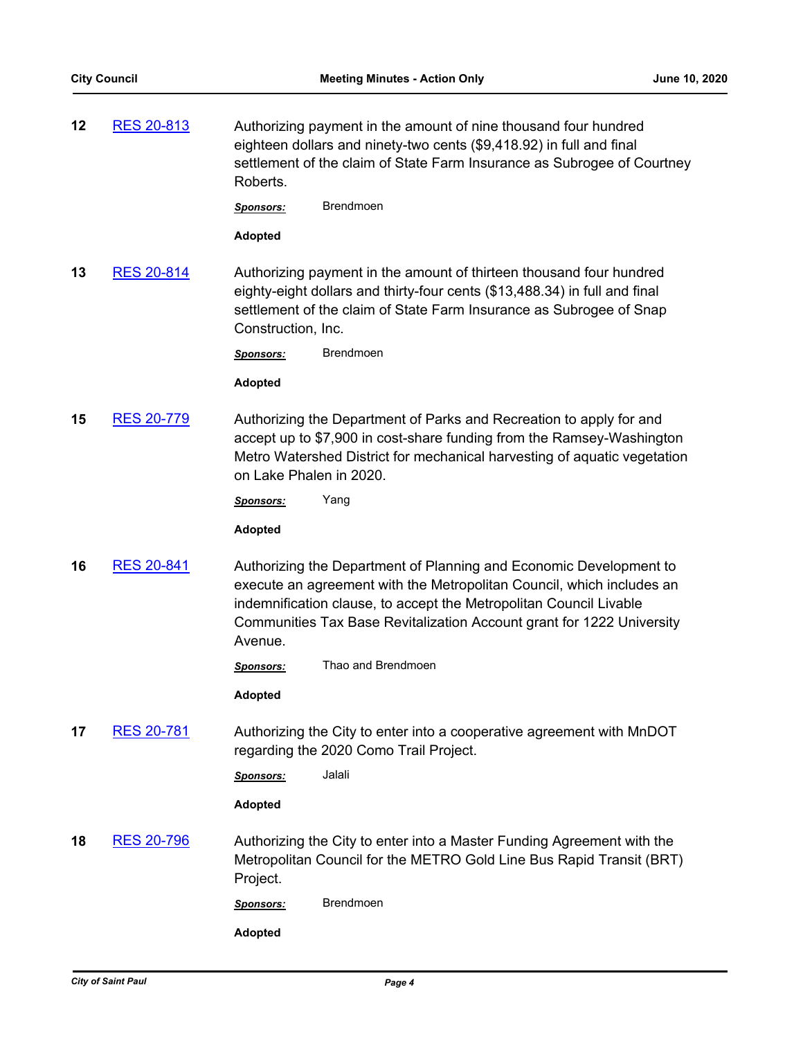**12** [RES 20-813](http://stpaul.legistar.com/gateway.aspx?m=l&id=/matter.aspx?key=34743) Authorizing payment in the amount of nine thousand four hundred eighteen dollars and ninety-two cents (\$9,418.92) in full and final settlement of the claim of State Farm Insurance as Subrogee of Courtney Roberts.

*Sponsors:* Brendmoen

**Adopted**

**13** [RES 20-814](http://stpaul.legistar.com/gateway.aspx?m=l&id=/matter.aspx?key=34744) Authorizing payment in the amount of thirteen thousand four hundred eighty-eight dollars and thirty-four cents (\$13,488.34) in full and final settlement of the claim of State Farm Insurance as Subrogee of Snap Construction, Inc.

*Sponsors:* Brendmoen

#### **Adopted**

**15** [RES 20-779](http://stpaul.legistar.com/gateway.aspx?m=l&id=/matter.aspx?key=34701) Authorizing the Department of Parks and Recreation to apply for and accept up to \$7,900 in cost-share funding from the Ramsey-Washington Metro Watershed District for mechanical harvesting of aquatic vegetation on Lake Phalen in 2020.

*Sponsors:* Yang

**Adopted**

**16** [RES 20-841](http://stpaul.legistar.com/gateway.aspx?m=l&id=/matter.aspx?key=34779) Authorizing the Department of Planning and Economic Development to execute an agreement with the Metropolitan Council, which includes an indemnification clause, to accept the Metropolitan Council Livable Communities Tax Base Revitalization Account grant for 1222 University Avenue.

*Sponsors:* Thao and Brendmoen

**Adopted**

**17** [RES 20-781](http://stpaul.legistar.com/gateway.aspx?m=l&id=/matter.aspx?key=34703) Authorizing the City to enter into a cooperative agreement with MnDOT regarding the 2020 Como Trail Project.

*Sponsors:* Jalali

**Adopted**

**18** [RES 20-796](http://stpaul.legistar.com/gateway.aspx?m=l&id=/matter.aspx?key=34719) Authorizing the City to enter into a Master Funding Agreement with the Metropolitan Council for the METRO Gold Line Bus Rapid Transit (BRT) Project.

*Sponsors:* Brendmoen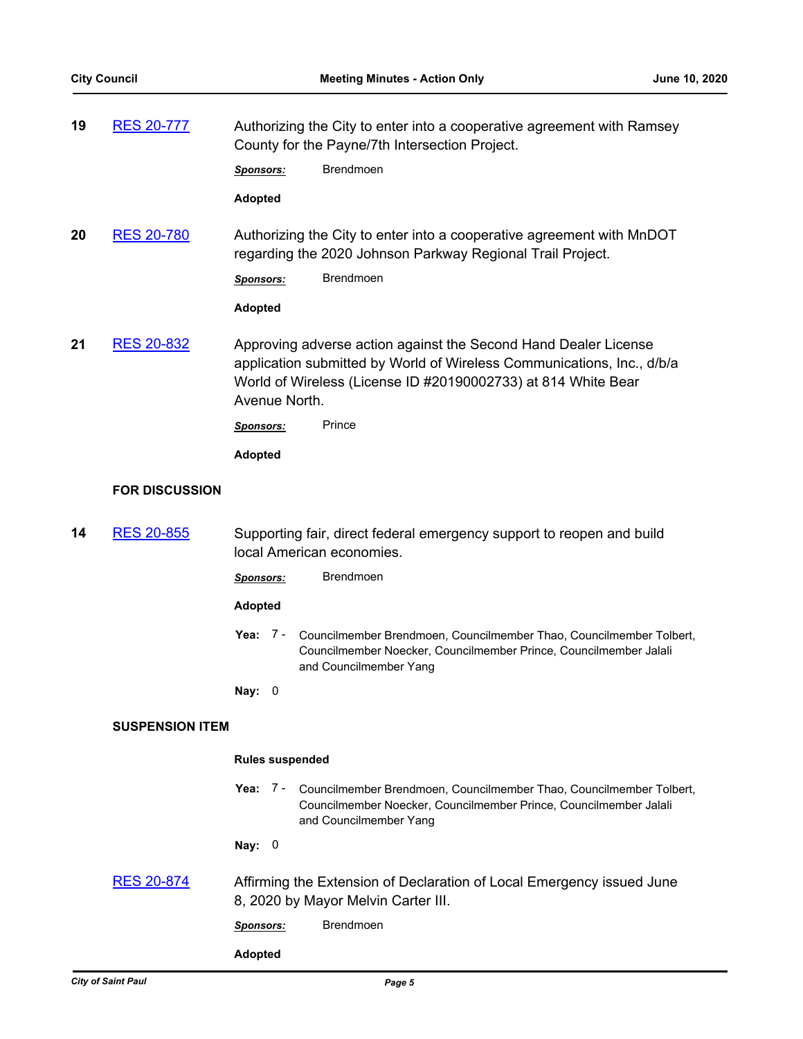| 19 | <b>RES 20-777</b>      | Authorizing the City to enter into a cooperative agreement with Ramsey<br>County for the Payne/7th Intersection Project.                                                                                                    |                                                                                                                                                                    |  |
|----|------------------------|-----------------------------------------------------------------------------------------------------------------------------------------------------------------------------------------------------------------------------|--------------------------------------------------------------------------------------------------------------------------------------------------------------------|--|
|    |                        | <b>Sponsors:</b>                                                                                                                                                                                                            | <b>Brendmoen</b>                                                                                                                                                   |  |
|    |                        | <b>Adopted</b>                                                                                                                                                                                                              |                                                                                                                                                                    |  |
| 20 | <b>RES 20-780</b>      |                                                                                                                                                                                                                             | Authorizing the City to enter into a cooperative agreement with MnDOT<br>regarding the 2020 Johnson Parkway Regional Trail Project.                                |  |
|    |                        | <b>Sponsors:</b>                                                                                                                                                                                                            | <b>Brendmoen</b>                                                                                                                                                   |  |
|    |                        | <b>Adopted</b>                                                                                                                                                                                                              |                                                                                                                                                                    |  |
| 21 | <b>RES 20-832</b>      | Approving adverse action against the Second Hand Dealer License<br>application submitted by World of Wireless Communications, Inc., d/b/a<br>World of Wireless (License ID #20190002733) at 814 White Bear<br>Avenue North. |                                                                                                                                                                    |  |
|    |                        | <b>Sponsors:</b>                                                                                                                                                                                                            | Prince                                                                                                                                                             |  |
|    |                        | <b>Adopted</b>                                                                                                                                                                                                              |                                                                                                                                                                    |  |
|    | <b>FOR DISCUSSION</b>  |                                                                                                                                                                                                                             |                                                                                                                                                                    |  |
| 14 | <b>RES 20-855</b>      |                                                                                                                                                                                                                             | Supporting fair, direct federal emergency support to reopen and build<br>local American economies.                                                                 |  |
|    |                        | <b>Sponsors:</b>                                                                                                                                                                                                            | <b>Brendmoen</b>                                                                                                                                                   |  |
|    |                        | <b>Adopted</b>                                                                                                                                                                                                              |                                                                                                                                                                    |  |
|    |                        | Yea: 7 -                                                                                                                                                                                                                    | Councilmember Brendmoen, Councilmember Thao, Councilmember Tolbert,<br>Councilmember Noecker, Councilmember Prince, Councilmember Jalali<br>and Councilmember Yang |  |
|    |                        | Nay:<br>0                                                                                                                                                                                                                   |                                                                                                                                                                    |  |
|    | <b>SUSPENSION ITEM</b> |                                                                                                                                                                                                                             |                                                                                                                                                                    |  |
|    |                        | <b>Rules suspended</b>                                                                                                                                                                                                      |                                                                                                                                                                    |  |
|    |                        | Yea: $7 -$                                                                                                                                                                                                                  | Councilmember Brendmoen, Councilmember Thao, Councilmember Tolbert,<br>Councilmember Noecker, Councilmember Prince, Councilmember Jalali<br>and Councilmember Yang |  |
|    |                        | Nay: $0$                                                                                                                                                                                                                    |                                                                                                                                                                    |  |
|    | <b>RES 20-874</b>      | Affirming the Extension of Declaration of Local Emergency issued June<br>8, 2020 by Mayor Melvin Carter III.                                                                                                                |                                                                                                                                                                    |  |
|    |                        | Sponsors:                                                                                                                                                                                                                   | Brendmoen                                                                                                                                                          |  |
|    |                        | <b>Adopted</b>                                                                                                                                                                                                              |                                                                                                                                                                    |  |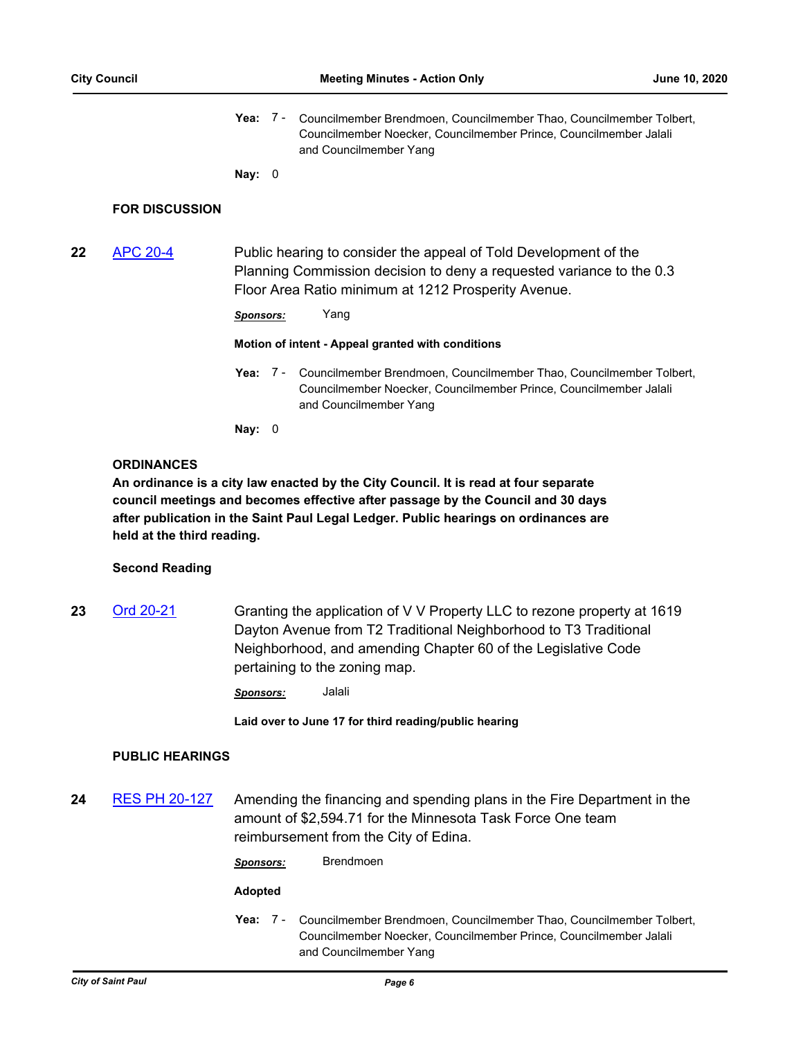Yea: 7 - Councilmember Brendmoen, Councilmember Thao, Councilmember Tolbert, Councilmember Noecker, Councilmember Prince, Councilmember Jalali and Councilmember Yang

**Nay:** 0

#### **FOR DISCUSSION**

**22** [APC 20-4](http://stpaul.legistar.com/gateway.aspx?m=l&id=/matter.aspx?key=34693) Public hearing to consider the appeal of Told Development of the Planning Commission decision to deny a requested variance to the 0.3 Floor Area Ratio minimum at 1212 Prosperity Avenue.

*Sponsors:* Yang

**Motion of intent - Appeal granted with conditions**

Yea: 7 - Councilmember Brendmoen, Councilmember Thao, Councilmember Tolbert, Councilmember Noecker, Councilmember Prince, Councilmember Jalali and Councilmember Yang

**Nay:** 0

#### **ORDINANCES**

**An ordinance is a city law enacted by the City Council. It is read at four separate council meetings and becomes effective after passage by the Council and 30 days after publication in the Saint Paul Legal Ledger. Public hearings on ordinances are held at the third reading.**

#### **Second Reading**

**23** [Ord 20-21](http://stpaul.legistar.com/gateway.aspx?m=l&id=/matter.aspx?key=34681) Granting the application of V V Property LLC to rezone property at 1619 Dayton Avenue from T2 Traditional Neighborhood to T3 Traditional Neighborhood, and amending Chapter 60 of the Legislative Code pertaining to the zoning map.

*Sponsors:* Jalali

**Laid over to June 17 for third reading/public hearing**

#### **PUBLIC HEARINGS**

**24** [RES PH 20-127](http://stpaul.legistar.com/gateway.aspx?m=l&id=/matter.aspx?key=34657) Amending the financing and spending plans in the Fire Department in the amount of \$2,594.71 for the Minnesota Task Force One team reimbursement from the City of Edina.

*Sponsors:* Brendmoen

#### **Adopted**

Yea: 7 - Councilmember Brendmoen, Councilmember Thao, Councilmember Tolbert, Councilmember Noecker, Councilmember Prince, Councilmember Jalali and Councilmember Yang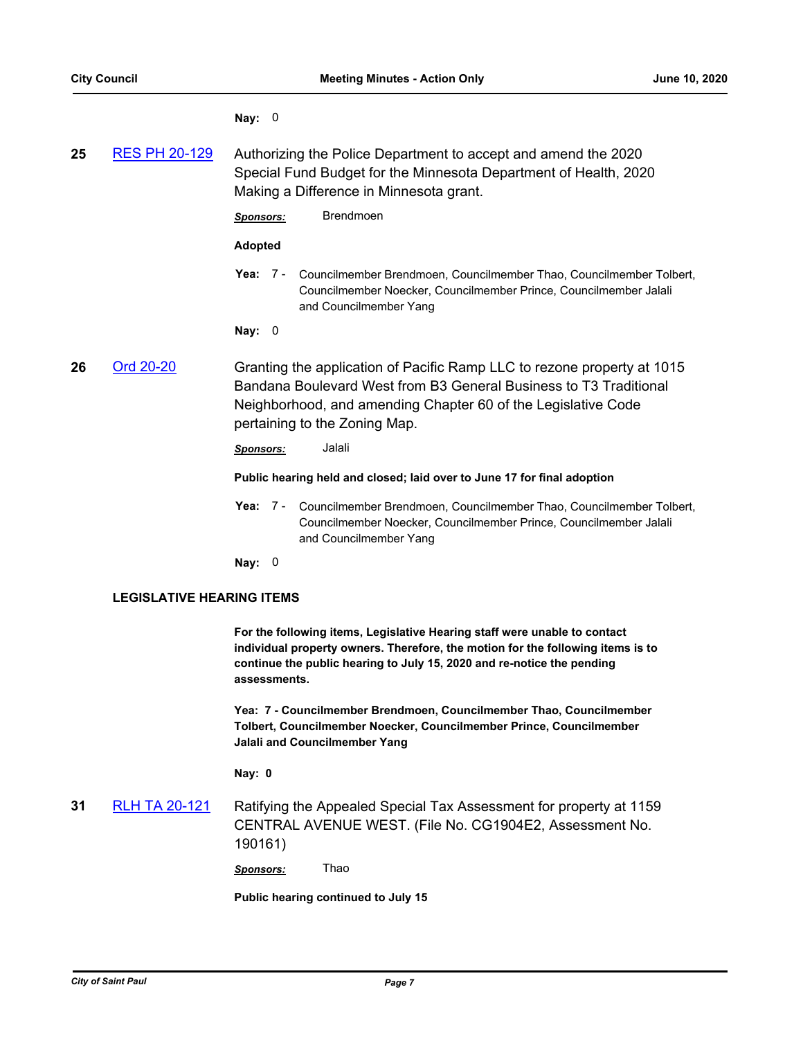#### **Nay:** 0

| 25 | <b>RES PH 20-129</b> | Authorizing the Police Department to accept and amend the 2020   |
|----|----------------------|------------------------------------------------------------------|
|    |                      | Special Fund Budget for the Minnesota Department of Health, 2020 |
|    |                      | Making a Difference in Minnesota grant.                          |

*Sponsors:* Brendmoen

#### **Adopted**

**Yea:** Councilmember Brendmoen, Councilmember Thao, Councilmember Tolbert, Councilmember Noecker, Councilmember Prince, Councilmember Jalali and Councilmember Yang Yea: 7 -

**Nay:** 0

**26** [Ord 20-20](http://stpaul.legistar.com/gateway.aspx?m=l&id=/matter.aspx?key=34644) Granting the application of Pacific Ramp LLC to rezone property at 1015 Bandana Boulevard West from B3 General Business to T3 Traditional Neighborhood, and amending Chapter 60 of the Legislative Code pertaining to the Zoning Map.

*Sponsors:* Jalali

#### **Public hearing held and closed; laid over to June 17 for final adoption**

Yea: 7 - Councilmember Brendmoen, Councilmember Thao, Councilmember Tolbert, Councilmember Noecker, Councilmember Prince, Councilmember Jalali and Councilmember Yang

**Nay:** 0

#### **LEGISLATIVE HEARING ITEMS**

**For the following items, Legislative Hearing staff were unable to contact individual property owners. Therefore, the motion for the following items is to continue the public hearing to July 15, 2020 and re-notice the pending assessments.**

**Yea: 7 - Councilmember Brendmoen, Councilmember Thao, Councilmember Tolbert, Councilmember Noecker, Councilmember Prince, Councilmember Jalali and Councilmember Yang**

**Nay: 0**

**31** [RLH TA 20-121](http://stpaul.legistar.com/gateway.aspx?m=l&id=/matter.aspx?key=33950) Ratifying the Appealed Special Tax Assessment for property at 1159 CENTRAL AVENUE WEST. (File No. CG1904E2, Assessment No. 190161)

*Sponsors:* Thao

**Public hearing continued to July 15**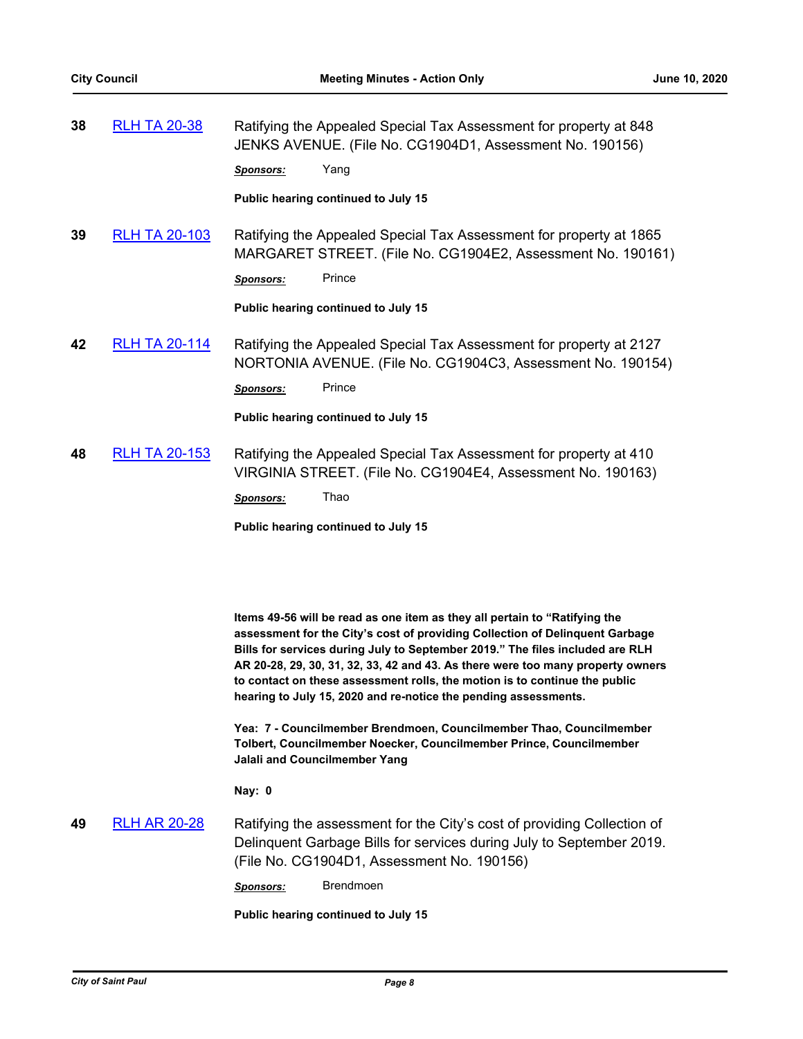| 38 | <b>RLH TA 20-38</b> | Ratifying the Appealed Special Tax Assessment for property at 848 |
|----|---------------------|-------------------------------------------------------------------|
|    |                     | JENKS AVENUE. (File No. CG1904D1, Assessment No. 190156)          |
|    |                     |                                                                   |

*Sponsors:* Yang

**Public hearing continued to July 15**

**39** [RLH TA 20-103](http://stpaul.legistar.com/gateway.aspx?m=l&id=/matter.aspx?key=33904) Ratifying the Appealed Special Tax Assessment for property at 1865 MARGARET STREET. (File No. CG1904E2, Assessment No. 190161)

*Sponsors:* Prince

**Public hearing continued to July 15**

**42** [RLH TA 20-114](http://stpaul.legistar.com/gateway.aspx?m=l&id=/matter.aspx?key=33943) Ratifying the Appealed Special Tax Assessment for property at 2127 NORTONIA AVENUE. (File No. CG1904C3, Assessment No. 190154)

*Sponsors:* Prince

**Public hearing continued to July 15**

**48** [RLH TA 20-153](http://stpaul.legistar.com/gateway.aspx?m=l&id=/matter.aspx?key=34103) Ratifying the Appealed Special Tax Assessment for property at 410 VIRGINIA STREET. (File No. CG1904E4, Assessment No. 190163)

*Sponsors:* Thao

**Public hearing continued to July 15**

**Items 49-56 will be read as one item as they all pertain to "Ratifying the assessment for the City's cost of providing Collection of Delinquent Garbage Bills for services during July to September 2019." The files included are RLH AR 20-28, 29, 30, 31, 32, 33, 42 and 43. As there were too many property owners to contact on these assessment rolls, the motion is to continue the public hearing to July 15, 2020 and re-notice the pending assessments.**

**Yea: 7 - Councilmember Brendmoen, Councilmember Thao, Councilmember Tolbert, Councilmember Noecker, Councilmember Prince, Councilmember Jalali and Councilmember Yang**

**Nay: 0**

# **49** [RLH AR 20-28](http://stpaul.legistar.com/gateway.aspx?m=l&id=/matter.aspx?key=33745) Ratifying the assessment for the City's cost of providing Collection of Delinquent Garbage Bills for services during July to September 2019. (File No. CG1904D1, Assessment No. 190156)

*Sponsors:* Brendmoen

**Public hearing continued to July 15**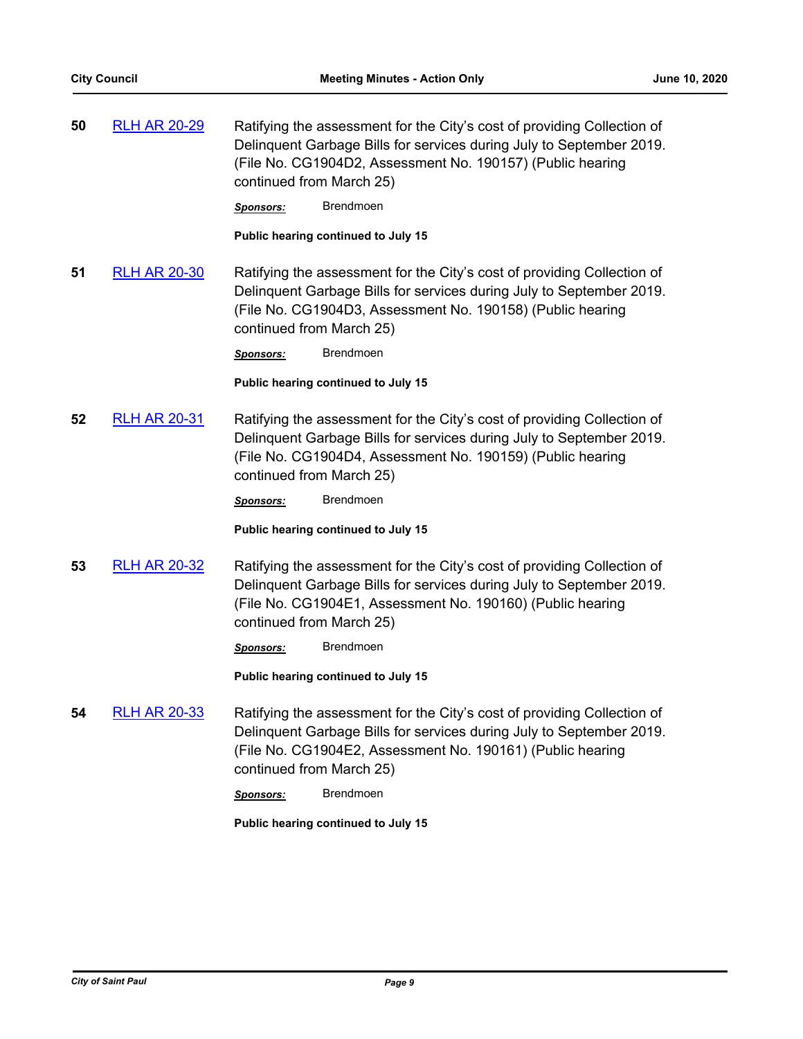**50** [RLH AR 20-29](http://stpaul.legistar.com/gateway.aspx?m=l&id=/matter.aspx?key=33746) Ratifying the assessment for the City's cost of providing Collection of Delinquent Garbage Bills for services during July to September 2019. (File No. CG1904D2, Assessment No. 190157) (Public hearing continued from March 25)

*Sponsors:* Brendmoen

**Public hearing continued to July 15**

**51** [RLH AR 20-30](http://stpaul.legistar.com/gateway.aspx?m=l&id=/matter.aspx?key=33748) Ratifying the assessment for the City's cost of providing Collection of Delinquent Garbage Bills for services during July to September 2019. (File No. CG1904D3, Assessment No. 190158) (Public hearing continued from March 25)

*Sponsors:* Brendmoen

**Public hearing continued to July 15**

**52** [RLH AR 20-31](http://stpaul.legistar.com/gateway.aspx?m=l&id=/matter.aspx?key=33749) Ratifying the assessment for the City's cost of providing Collection of Delinquent Garbage Bills for services during July to September 2019. (File No. CG1904D4, Assessment No. 190159) (Public hearing continued from March 25)

*Sponsors:* Brendmoen

**Public hearing continued to July 15**

**53** [RLH AR 20-32](http://stpaul.legistar.com/gateway.aspx?m=l&id=/matter.aspx?key=33750) Ratifying the assessment for the City's cost of providing Collection of Delinquent Garbage Bills for services during July to September 2019. (File No. CG1904E1, Assessment No. 190160) (Public hearing continued from March 25)

*Sponsors:* Brendmoen

**Public hearing continued to July 15**

**54** [RLH AR 20-33](http://stpaul.legistar.com/gateway.aspx?m=l&id=/matter.aspx?key=33751) Ratifying the assessment for the City's cost of providing Collection of Delinquent Garbage Bills for services during July to September 2019. (File No. CG1904E2, Assessment No. 190161) (Public hearing continued from March 25)

*Sponsors:* Brendmoen

**Public hearing continued to July 15**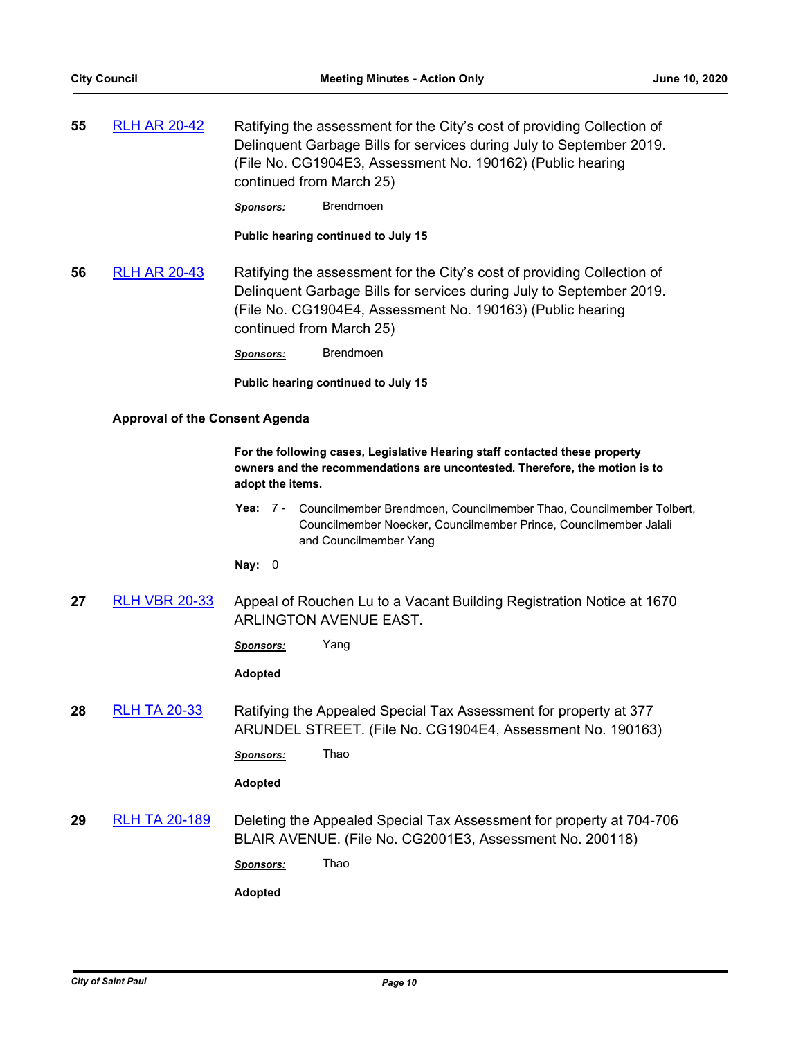**55** [RLH AR 20-42](http://stpaul.legistar.com/gateway.aspx?m=l&id=/matter.aspx?key=33807) Ratifying the assessment for the City's cost of providing Collection of Delinquent Garbage Bills for services during July to September 2019. (File No. CG1904E3, Assessment No. 190162) (Public hearing continued from March 25)

*Sponsors:* Brendmoen

**Public hearing continued to July 15**

**56** [RLH AR 20-43](http://stpaul.legistar.com/gateway.aspx?m=l&id=/matter.aspx?key=33808) Ratifying the assessment for the City's cost of providing Collection of Delinquent Garbage Bills for services during July to September 2019. (File No. CG1904E4, Assessment No. 190163) (Public hearing continued from March 25)

*Sponsors:* Brendmoen

**Public hearing continued to July 15**

#### **Approval of the Consent Agenda**

**For the following cases, Legislative Hearing staff contacted these property owners and the recommendations are uncontested. Therefore, the motion is to adopt the items.**

Yea: 7 - Councilmember Brendmoen, Councilmember Thao, Councilmember Tolbert, Councilmember Noecker, Councilmember Prince, Councilmember Jalali and Councilmember Yang

**Nay:** 0

**27** [RLH VBR 20-33](http://stpaul.legistar.com/gateway.aspx?m=l&id=/matter.aspx?key=34695) Appeal of Rouchen Lu to a Vacant Building Registration Notice at 1670 ARLINGTON AVENUE EAST.

*Sponsors:* Yang

**Adopted**

**28** [RLH TA 20-33](http://stpaul.legistar.com/gateway.aspx?m=l&id=/matter.aspx?key=33699) Ratifying the Appealed Special Tax Assessment for property at 377 ARUNDEL STREET. (File No. CG1904E4, Assessment No. 190163)

*Sponsors:* Thao

**Adopted**

**29** [RLH TA 20-189](http://stpaul.legistar.com/gateway.aspx?m=l&id=/matter.aspx?key=34319) Deleting the Appealed Special Tax Assessment for property at 704-706 BLAIR AVENUE. (File No. CG2001E3, Assessment No. 200118)

*Sponsors:* Thao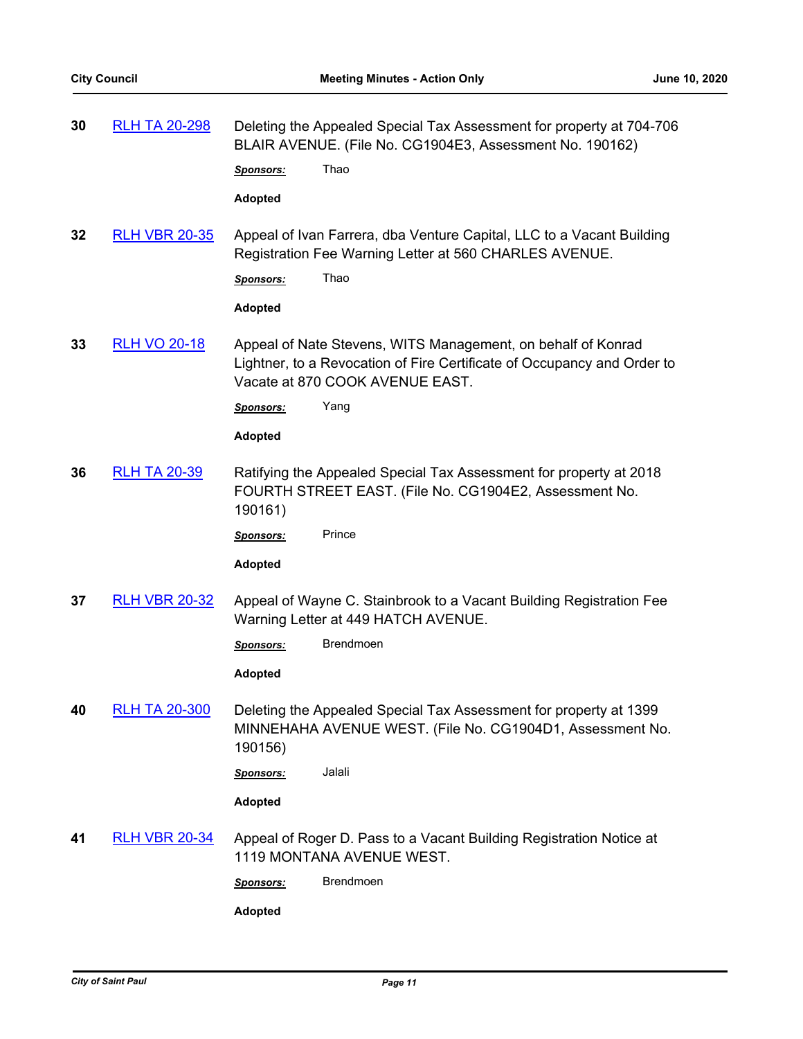| 30 | <b>RLH TA 20-298</b> | Deleting the Appealed Special Tax Assessment for property at 704-706<br>BLAIR AVENUE. (File No. CG1904E3, Assessment No. 190162)                                           |  |
|----|----------------------|----------------------------------------------------------------------------------------------------------------------------------------------------------------------------|--|
|    |                      | Thao<br><b>Sponsors:</b>                                                                                                                                                   |  |
|    |                      | <b>Adopted</b>                                                                                                                                                             |  |
| 32 | <b>RLH VBR 20-35</b> | Appeal of Ivan Farrera, dba Venture Capital, LLC to a Vacant Building<br>Registration Fee Warning Letter at 560 CHARLES AVENUE.                                            |  |
|    |                      | Thao<br>Sponsors:                                                                                                                                                          |  |
|    |                      | Adopted                                                                                                                                                                    |  |
| 33 | <b>RLH VO 20-18</b>  | Appeal of Nate Stevens, WITS Management, on behalf of Konrad<br>Lightner, to a Revocation of Fire Certificate of Occupancy and Order to<br>Vacate at 870 COOK AVENUE EAST. |  |
|    |                      | Yang<br><b>Sponsors:</b>                                                                                                                                                   |  |
|    |                      | <b>Adopted</b>                                                                                                                                                             |  |
| 36 | <b>RLH TA 20-39</b>  | Ratifying the Appealed Special Tax Assessment for property at 2018<br>FOURTH STREET EAST. (File No. CG1904E2, Assessment No.<br>190161)                                    |  |
|    |                      | Prince<br><u>Sponsors:</u>                                                                                                                                                 |  |
|    |                      | Adopted                                                                                                                                                                    |  |
| 37 | <b>RLH VBR 20-32</b> | Appeal of Wayne C. Stainbrook to a Vacant Building Registration Fee<br>Warning Letter at 449 HATCH AVENUE.                                                                 |  |
|    |                      | <b>Brendmoen</b><br><b>Sponsors:</b>                                                                                                                                       |  |
|    |                      | <b>Adopted</b>                                                                                                                                                             |  |
| 40 | <b>RLH TA 20-300</b> | Deleting the Appealed Special Tax Assessment for property at 1399<br>MINNEHAHA AVENUE WEST. (File No. CG1904D1, Assessment No.<br>190156)                                  |  |
|    |                      | Jalali<br>Sponsors:                                                                                                                                                        |  |
|    |                      | <b>Adopted</b>                                                                                                                                                             |  |
| 41 | <b>RLH VBR 20-34</b> | Appeal of Roger D. Pass to a Vacant Building Registration Notice at<br>1119 MONTANA AVENUE WEST.                                                                           |  |
|    |                      | <b>Brendmoen</b><br>Sponsors:                                                                                                                                              |  |
|    |                      | <b>Adopted</b>                                                                                                                                                             |  |
|    |                      |                                                                                                                                                                            |  |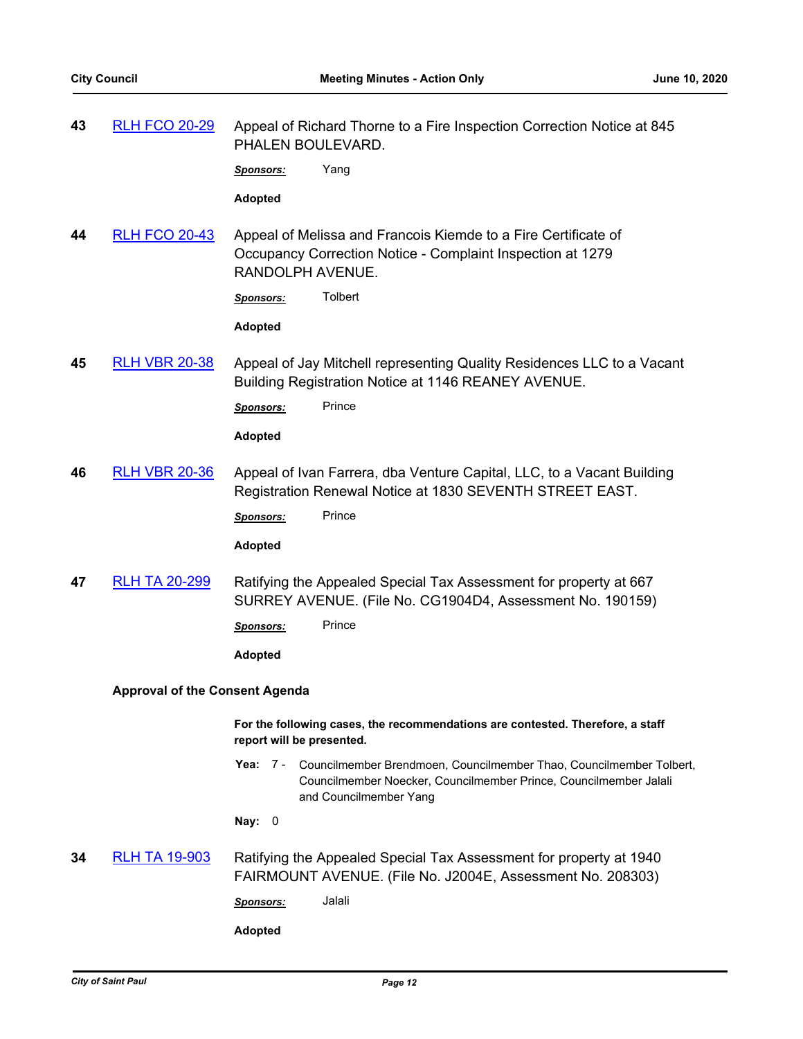**43** [RLH FCO 20-29](http://stpaul.legistar.com/gateway.aspx?m=l&id=/matter.aspx?key=34547) Appeal of Richard Thorne to a Fire Inspection Correction Notice at 845 PHALEN BOULEVARD.

*Sponsors:* Yang

**Adopted**

**44** [RLH FCO 20-43](http://stpaul.legistar.com/gateway.aspx?m=l&id=/matter.aspx?key=34704) Appeal of Melissa and Francois Kiemde to a Fire Certificate of Occupancy Correction Notice - Complaint Inspection at 1279 RANDOLPH AVENUE.

*Sponsors:* Tolbert

**Adopted**

**45** [RLH VBR 20-38](http://stpaul.legistar.com/gateway.aspx?m=l&id=/matter.aspx?key=34716) Appeal of Jay Mitchell representing Quality Residences LLC to a Vacant Building Registration Notice at 1146 REANEY AVENUE.

Sponsors: Prince

**Adopted**

**46** [RLH VBR 20-36](http://stpaul.legistar.com/gateway.aspx?m=l&id=/matter.aspx?key=34706) Appeal of Ivan Farrera, dba Venture Capital, LLC, to a Vacant Building Registration Renewal Notice at 1830 SEVENTH STREET EAST.

Sponsors: Prince

**Adopted**

**47** [RLH TA 20-299](http://stpaul.legistar.com/gateway.aspx?m=l&id=/matter.aspx?key=34576) Ratifying the Appealed Special Tax Assessment for property at 667 SURREY AVENUE. (File No. CG1904D4, Assessment No. 190159)

*Sponsors:* Prince

**Adopted**

#### **Approval of the Consent Agenda**

**For the following cases, the recommendations are contested. Therefore, a staff report will be presented.**

Yea: 7 - Councilmember Brendmoen, Councilmember Thao, Councilmember Tolbert, Councilmember Noecker, Councilmember Prince, Councilmember Jalali and Councilmember Yang

**Nay:** 0

**34** [RLH TA 19-903](http://stpaul.legistar.com/gateway.aspx?m=l&id=/matter.aspx?key=33380) Ratifying the Appealed Special Tax Assessment for property at 1940 FAIRMOUNT AVENUE. (File No. J2004E, Assessment No. 208303)

*Sponsors:* Jalali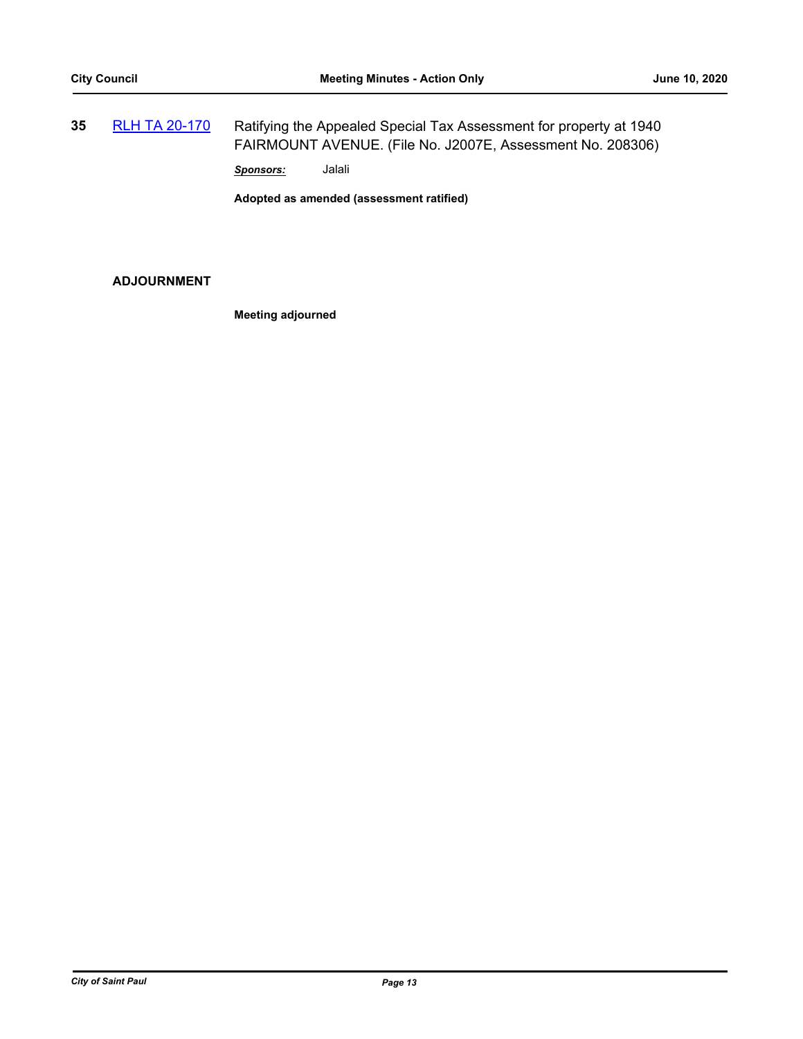**35** [RLH TA 20-170](http://stpaul.legistar.com/gateway.aspx?m=l&id=/matter.aspx?key=34181) Ratifying the Appealed Special Tax Assessment for property at 1940 FAIRMOUNT AVENUE. (File No. J2007E, Assessment No. 208306)

*Sponsors:* Jalali

**Adopted as amended (assessment ratified)**

# **ADJOURNMENT**

**Meeting adjourned**